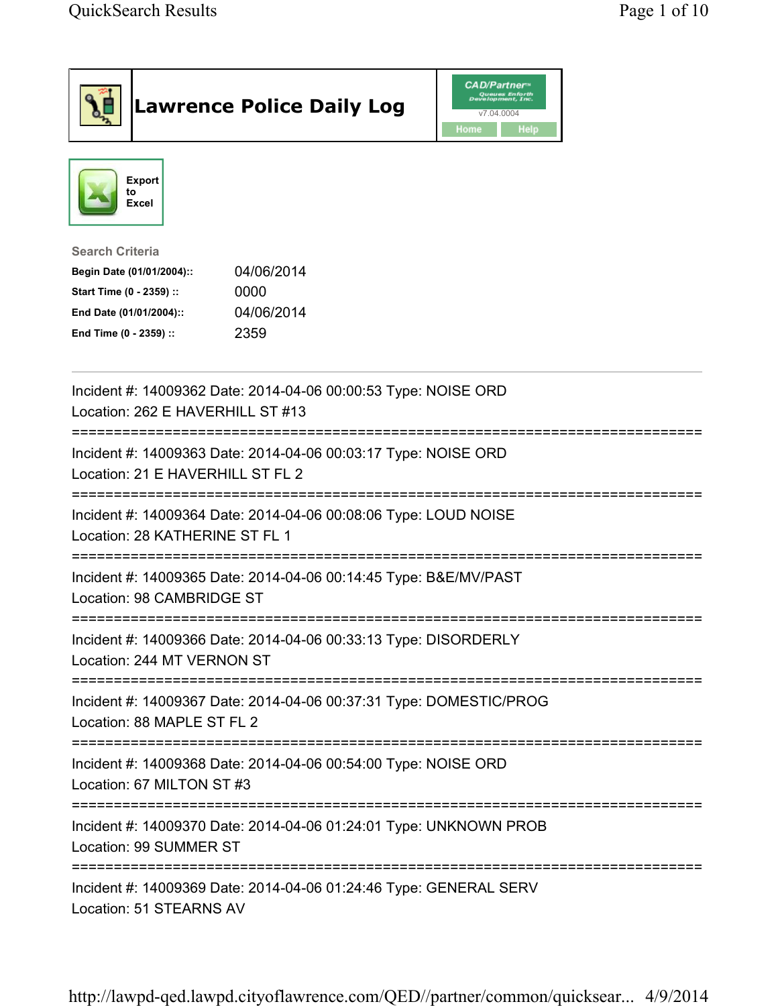| <b>Lawrence Police Daily Log</b>                                                                                                                                                 | <b>CAD/Partner</b> "<br>Queues Enforth<br>Development, Inc.<br>v7.04.0004<br>Home<br><b>Help</b> |
|----------------------------------------------------------------------------------------------------------------------------------------------------------------------------------|--------------------------------------------------------------------------------------------------|
| <b>Export</b><br>to<br><b>Excel</b>                                                                                                                                              |                                                                                                  |
| <b>Search Criteria</b><br>04/06/2014<br>Begin Date (01/01/2004)::<br>Start Time (0 - 2359) ::<br>0000<br>04/06/2014<br>End Date (01/01/2004)::<br>2359<br>End Time (0 - 2359) :: |                                                                                                  |
| Incident #: 14009362 Date: 2014-04-06 00:00:53 Type: NOISE ORD<br>Location: 262 E HAVERHILL ST #13                                                                               |                                                                                                  |
| Incident #: 14009363 Date: 2014-04-06 00:03:17 Type: NOISE ORD<br>Location: 21 E HAVERHILL ST FL 2                                                                               |                                                                                                  |
| Incident #: 14009364 Date: 2014-04-06 00:08:06 Type: LOUD NOISE<br>Location: 28 KATHERINE ST FL 1                                                                                |                                                                                                  |
| Incident #: 14009365 Date: 2014-04-06 00:14:45 Type: B&E/MV/PAST<br>Location: 98 CAMBRIDGE ST                                                                                    |                                                                                                  |
| Incident #: 14009366 Date: 2014-04-06 00:33:13 Type: DISORDERLY<br>Location: 244 MT VERNON ST                                                                                    |                                                                                                  |
| Incident #: 14009367 Date: 2014-04-06 00:37:31 Type: DOMESTIC/PROG<br>Location: 88 MAPLE ST FL 2                                                                                 |                                                                                                  |
| Incident #: 14009368 Date: 2014-04-06 00:54:00 Type: NOISE ORD<br>Location: 67 MILTON ST #3                                                                                      |                                                                                                  |
| Incident #: 14009370 Date: 2014-04-06 01:24:01 Type: UNKNOWN PROB<br>Location: 99 SUMMER ST                                                                                      |                                                                                                  |
| Incident #: 14009369 Date: 2014-04-06 01:24:46 Type: GENERAL SERV<br>Location: 51 STEARNS AV                                                                                     |                                                                                                  |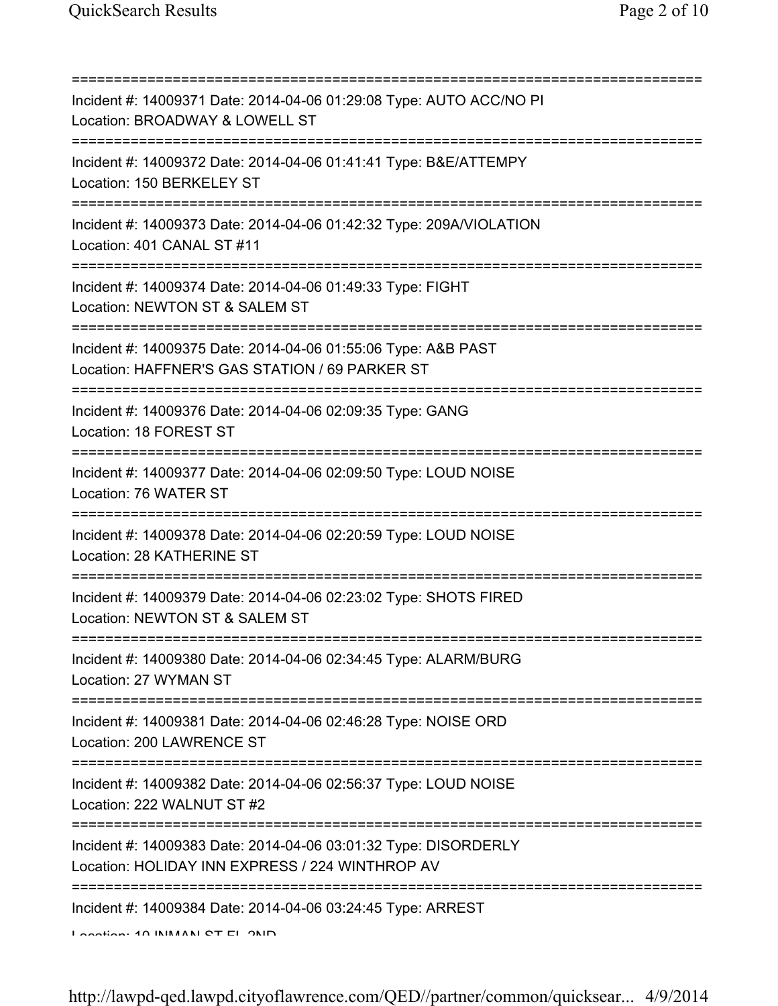| Incident #: 14009371 Date: 2014-04-06 01:29:08 Type: AUTO ACC/NO PI<br>Location: BROADWAY & LOWELL ST<br>======================        |
|----------------------------------------------------------------------------------------------------------------------------------------|
| Incident #: 14009372 Date: 2014-04-06 01:41:41 Type: B&E/ATTEMPY<br>Location: 150 BERKELEY ST                                          |
| Incident #: 14009373 Date: 2014-04-06 01:42:32 Type: 209A/VIOLATION<br>Location: 401 CANAL ST #11                                      |
| Incident #: 14009374 Date: 2014-04-06 01:49:33 Type: FIGHT<br>Location: NEWTON ST & SALEM ST<br>====================================== |
| Incident #: 14009375 Date: 2014-04-06 01:55:06 Type: A&B PAST<br>Location: HAFFNER'S GAS STATION / 69 PARKER ST                        |
| Incident #: 14009376 Date: 2014-04-06 02:09:35 Type: GANG<br>Location: 18 FOREST ST                                                    |
| Incident #: 14009377 Date: 2014-04-06 02:09:50 Type: LOUD NOISE<br>Location: 76 WATER ST                                               |
| Incident #: 14009378 Date: 2014-04-06 02:20:59 Type: LOUD NOISE<br>Location: 28 KATHERINE ST                                           |
| Incident #: 14009379 Date: 2014-04-06 02:23:02 Type: SHOTS FIRED<br>Location: NEWTON ST & SALEM ST                                     |
| Incident #: 14009380 Date: 2014-04-06 02:34:45 Type: ALARM/BURG<br>Location: 27 WYMAN ST                                               |
| Incident #: 14009381 Date: 2014-04-06 02:46:28 Type: NOISE ORD<br>Location: 200 LAWRENCE ST                                            |
| ====================================<br>Incident #: 14009382 Date: 2014-04-06 02:56:37 Type: LOUD NOISE<br>Location: 222 WALNUT ST #2  |
| Incident #: 14009383 Date: 2014-04-06 03:01:32 Type: DISORDERLY<br>Location: HOLIDAY INN EXPRESS / 224 WINTHROP AV                     |
| Incident #: 14009384 Date: 2014-04-06 03:24:45 Type: ARREST<br>$I$ and $I$ and $I$ $\Lambda$ in $I$ and $I$ and $I$ and $I$            |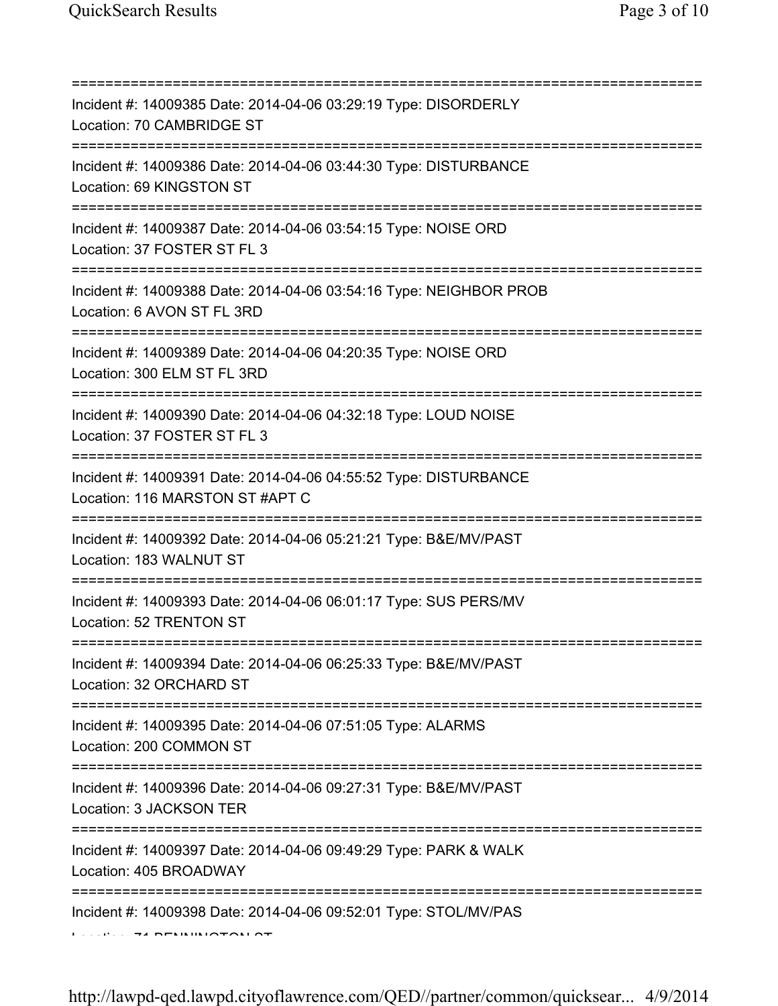| Incident #: 14009385 Date: 2014-04-06 03:29:19 Type: DISORDERLY<br>Location: 70 CAMBRIDGE ST<br>================================     |
|--------------------------------------------------------------------------------------------------------------------------------------|
| Incident #: 14009386 Date: 2014-04-06 03:44:30 Type: DISTURBANCE<br>Location: 69 KINGSTON ST<br>================================     |
| Incident #: 14009387 Date: 2014-04-06 03:54:15 Type: NOISE ORD<br>Location: 37 FOSTER ST FL 3                                        |
| Incident #: 14009388 Date: 2014-04-06 03:54:16 Type: NEIGHBOR PROB<br>Location: 6 AVON ST FL 3RD                                     |
| Incident #: 14009389 Date: 2014-04-06 04:20:35 Type: NOISE ORD<br>Location: 300 ELM ST FL 3RD                                        |
| Incident #: 14009390 Date: 2014-04-06 04:32:18 Type: LOUD NOISE<br>Location: 37 FOSTER ST FL 3                                       |
| Incident #: 14009391 Date: 2014-04-06 04:55:52 Type: DISTURBANCE<br>Location: 116 MARSTON ST #APT C                                  |
| Incident #: 14009392 Date: 2014-04-06 05:21:21 Type: B&E/MV/PAST<br>Location: 183 WALNUT ST                                          |
| Incident #: 14009393 Date: 2014-04-06 06:01:17 Type: SUS PERS/MV<br>Location: 52 TRENTON ST                                          |
| Incident #: 14009394 Date: 2014-04-06 06:25:33 Type: B&E/MV/PAST<br>Location: 32 ORCHARD ST                                          |
| Incident #: 14009395 Date: 2014-04-06 07:51:05 Type: ALARMS<br>Location: 200 COMMON ST                                               |
| =====================================<br>Incident #: 14009396 Date: 2014-04-06 09:27:31 Type: B&E/MV/PAST<br>Location: 3 JACKSON TER |
| Incident #: 14009397 Date: 2014-04-06 09:49:29 Type: PARK & WALK<br>Location: 405 BROADWAY                                           |
| Incident #: 14009398 Date: 2014-04-06 09:52:01 Type: STOL/MV/PAS                                                                     |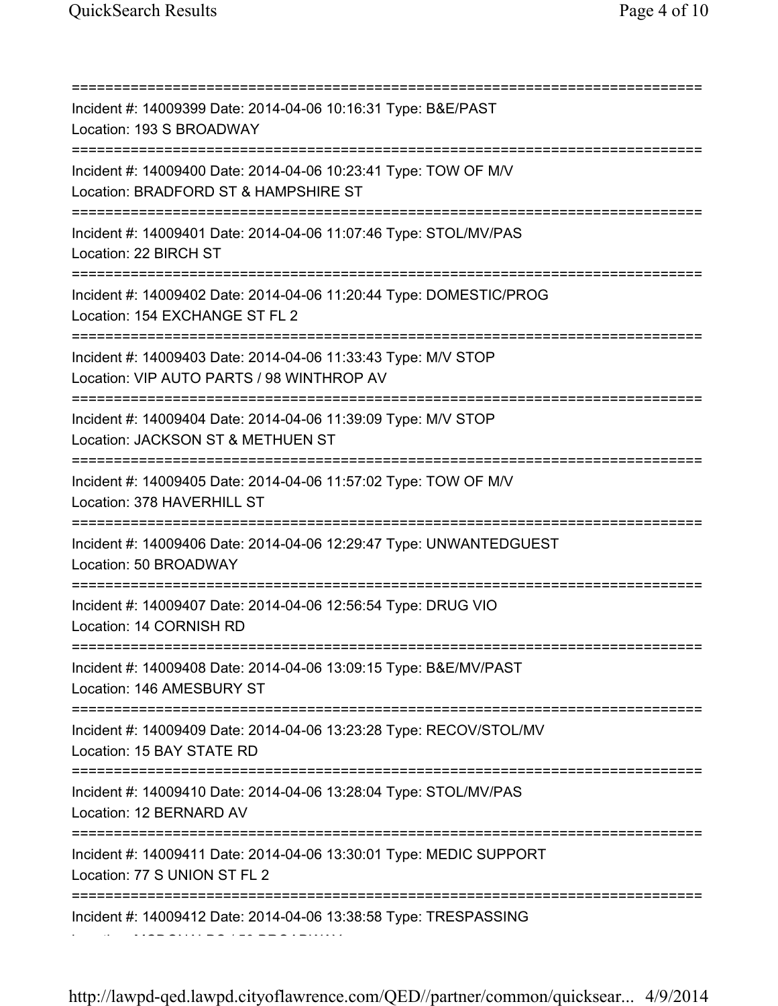=========================================================================== Incident #: 14009399 Date: 2014-04-06 10:16:31 Type: B&E/PAST Location: 193 S BROADWAY =========================================================================== Incident #: 14009400 Date: 2014-04-06 10:23:41 Type: TOW OF M/V Location: BRADFORD ST & HAMPSHIRE ST =========================================================================== Incident #: 14009401 Date: 2014-04-06 11:07:46 Type: STOL/MV/PAS Location: 22 BIRCH ST =========================================================================== Incident #: 14009402 Date: 2014-04-06 11:20:44 Type: DOMESTIC/PROG Location: 154 EXCHANGE ST FL 2 =========================================================================== Incident #: 14009403 Date: 2014-04-06 11:33:43 Type: M/V STOP Location: VIP AUTO PARTS / 98 WINTHROP AV =========================================================================== Incident #: 14009404 Date: 2014-04-06 11:39:09 Type: M/V STOP Location: JACKSON ST & METHUEN ST =========================================================================== Incident #: 14009405 Date: 2014-04-06 11:57:02 Type: TOW OF M/V Location: 378 HAVERHILL ST =========================================================================== Incident #: 14009406 Date: 2014-04-06 12:29:47 Type: UNWANTEDGUEST Location: 50 BROADWAY =========================================================================== Incident #: 14009407 Date: 2014-04-06 12:56:54 Type: DRUG VIO Location: 14 CORNISH RD =========================================================================== Incident #: 14009408 Date: 2014-04-06 13:09:15 Type: B&E/MV/PAST Location: 146 AMESBURY ST =========================================================================== Incident #: 14009409 Date: 2014-04-06 13:23:28 Type: RECOV/STOL/MV Location: 15 BAY STATE RD =========================================================================== Incident #: 14009410 Date: 2014-04-06 13:28:04 Type: STOL/MV/PAS Location: 12 BERNARD AV =========================================================================== Incident #: 14009411 Date: 2014-04-06 13:30:01 Type: MEDIC SUPPORT Location: 77 S UNION ST FL 2 =========================================================================== Incident #: 14009412 Date: 2014-04-06 13:38:58 Type: TRESPASSING Location: MCDONALDS / 50 BROADWAY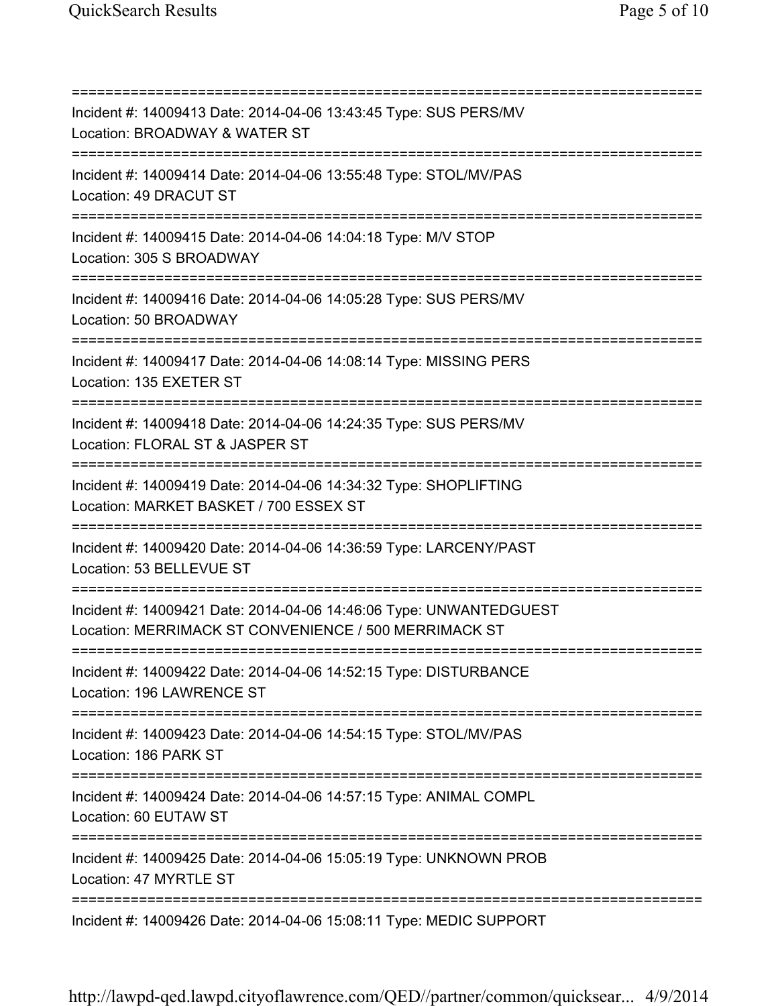=========================================================================== Incident #: 14009413 Date: 2014-04-06 13:43:45 Type: SUS PERS/MV Location: BROADWAY & WATER ST =========================================================================== Incident #: 14009414 Date: 2014-04-06 13:55:48 Type: STOL/MV/PAS Location: 49 DRACUT ST =========================================================================== Incident #: 14009415 Date: 2014-04-06 14:04:18 Type: M/V STOP Location: 305 S BROADWAY =========================================================================== Incident #: 14009416 Date: 2014-04-06 14:05:28 Type: SUS PERS/MV Location: 50 BROADWAY =========================================================================== Incident #: 14009417 Date: 2014-04-06 14:08:14 Type: MISSING PERS Location: 135 EXETER ST =========================================================================== Incident #: 14009418 Date: 2014-04-06 14:24:35 Type: SUS PERS/MV Location: FLORAL ST & JASPER ST =========================================================================== Incident #: 14009419 Date: 2014-04-06 14:34:32 Type: SHOPLIFTING Location: MARKET BASKET / 700 ESSEX ST =========================================================================== Incident #: 14009420 Date: 2014-04-06 14:36:59 Type: LARCENY/PAST Location: 53 BELLEVUE ST =========================================================================== Incident #: 14009421 Date: 2014-04-06 14:46:06 Type: UNWANTEDGUEST Location: MERRIMACK ST CONVENIENCE / 500 MERRIMACK ST =========================================================================== Incident #: 14009422 Date: 2014-04-06 14:52:15 Type: DISTURBANCE Location: 196 LAWRENCE ST =========================================================================== Incident #: 14009423 Date: 2014-04-06 14:54:15 Type: STOL/MV/PAS Location: 186 PARK ST =========================================================================== Incident #: 14009424 Date: 2014-04-06 14:57:15 Type: ANIMAL COMPL Location: 60 EUTAW ST =========================================================================== Incident #: 14009425 Date: 2014-04-06 15:05:19 Type: UNKNOWN PROB Location: 47 MYRTLE ST =========================================================================== Incident #: 14009426 Date: 2014-04-06 15:08:11 Type: MEDIC SUPPORT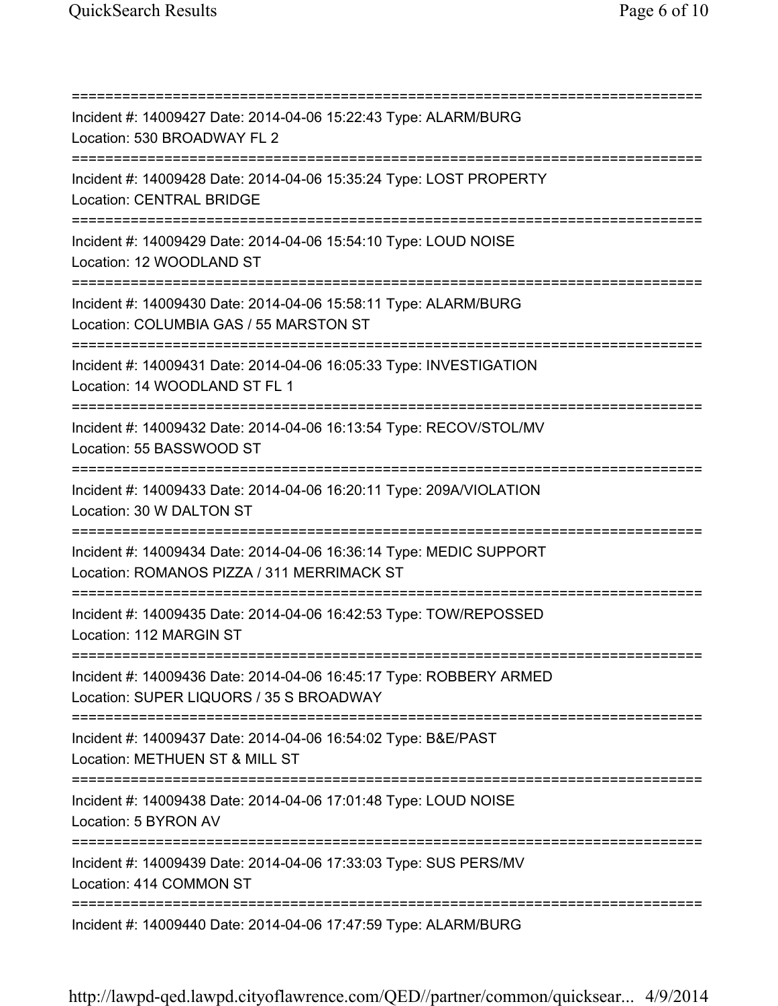=========================================================================== Incident #: 14009427 Date: 2014-04-06 15:22:43 Type: ALARM/BURG Location: 530 BROADWAY FL 2 =========================================================================== Incident #: 14009428 Date: 2014-04-06 15:35:24 Type: LOST PROPERTY Location: CENTRAL BRIDGE =========================================================================== Incident #: 14009429 Date: 2014-04-06 15:54:10 Type: LOUD NOISE Location: 12 WOODLAND ST =========================================================================== Incident #: 14009430 Date: 2014-04-06 15:58:11 Type: ALARM/BURG Location: COLUMBIA GAS / 55 MARSTON ST =========================================================================== Incident #: 14009431 Date: 2014-04-06 16:05:33 Type: INVESTIGATION Location: 14 WOODLAND ST FL 1 =========================================================================== Incident #: 14009432 Date: 2014-04-06 16:13:54 Type: RECOV/STOL/MV Location: 55 BASSWOOD ST =========================================================================== Incident #: 14009433 Date: 2014-04-06 16:20:11 Type: 209A/VIOLATION Location: 30 W DALTON ST =========================================================================== Incident #: 14009434 Date: 2014-04-06 16:36:14 Type: MEDIC SUPPORT Location: ROMANOS PIZZA / 311 MERRIMACK ST =========================================================================== Incident #: 14009435 Date: 2014-04-06 16:42:53 Type: TOW/REPOSSED Location: 112 MARGIN ST =========================================================================== Incident #: 14009436 Date: 2014-04-06 16:45:17 Type: ROBBERY ARMED Location: SUPER LIQUORS / 35 S BROADWAY =========================================================================== Incident #: 14009437 Date: 2014-04-06 16:54:02 Type: B&E/PAST Location: METHUEN ST & MILL ST =========================================================================== Incident #: 14009438 Date: 2014-04-06 17:01:48 Type: LOUD NOISE Location: 5 BYRON AV =========================================================================== Incident #: 14009439 Date: 2014-04-06 17:33:03 Type: SUS PERS/MV Location: 414 COMMON ST =========================================================================== Incident #: 14009440 Date: 2014-04-06 17:47:59 Type: ALARM/BURG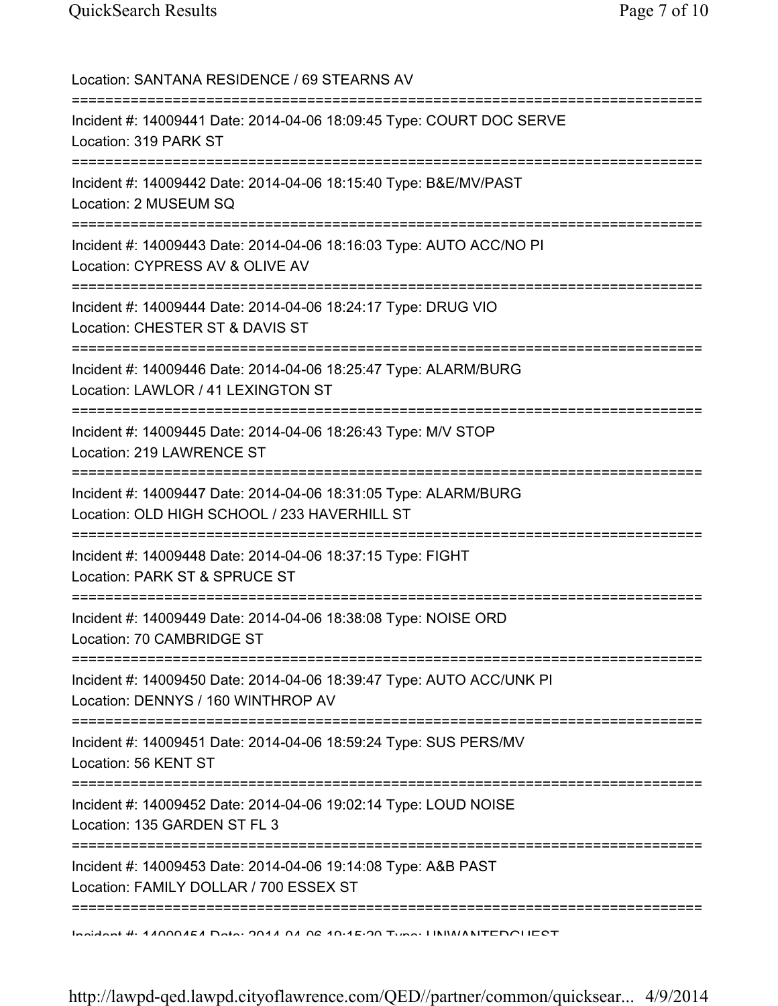Location: SANTANA RESIDENCE / 69 STEARNS AV =========================================================================== Incident #: 14009441 Date: 2014-04-06 18:09:45 Type: COURT DOC SERVE Location: 319 PARK ST =========================================================================== Incident #: 14009442 Date: 2014-04-06 18:15:40 Type: B&E/MV/PAST Location: 2 MUSEUM SQ =========================================================================== Incident #: 14009443 Date: 2014-04-06 18:16:03 Type: AUTO ACC/NO PI Location: CYPRESS AV & OLIVE AV =========================================================================== Incident #: 14009444 Date: 2014-04-06 18:24:17 Type: DRUG VIO Location: CHESTER ST & DAVIS ST =========================================================================== Incident #: 14009446 Date: 2014-04-06 18:25:47 Type: ALARM/BURG Location: LAWLOR / 41 LEXINGTON ST =========================================================================== Incident #: 14009445 Date: 2014-04-06 18:26:43 Type: M/V STOP Location: 219 LAWRENCE ST =========================================================================== Incident #: 14009447 Date: 2014-04-06 18:31:05 Type: ALARM/BURG Location: OLD HIGH SCHOOL / 233 HAVERHILL ST =========================================================================== Incident #: 14009448 Date: 2014-04-06 18:37:15 Type: FIGHT Location: PARK ST & SPRUCE ST =========================================================================== Incident #: 14009449 Date: 2014-04-06 18:38:08 Type: NOISE ORD Location: 70 CAMBRIDGE ST =========================================================================== Incident #: 14009450 Date: 2014-04-06 18:39:47 Type: AUTO ACC/UNK PI Location: DENNYS / 160 WINTHROP AV =========================================================================== Incident #: 14009451 Date: 2014-04-06 18:59:24 Type: SUS PERS/MV Location: 56 KENT ST =========================================================================== Incident #: 14009452 Date: 2014-04-06 19:02:14 Type: LOUD NOISE Location: 135 GARDEN ST FL 3 =========================================================================== Incident #: 14009453 Date: 2014-04-06 19:14:08 Type: A&B PAST Location: FAMILY DOLLAR / 700 ESSEX ST =========================================================================== Incident #: 14009454 Date: 2014 04 06 19:15:20 Type: UNWANTEDGUEST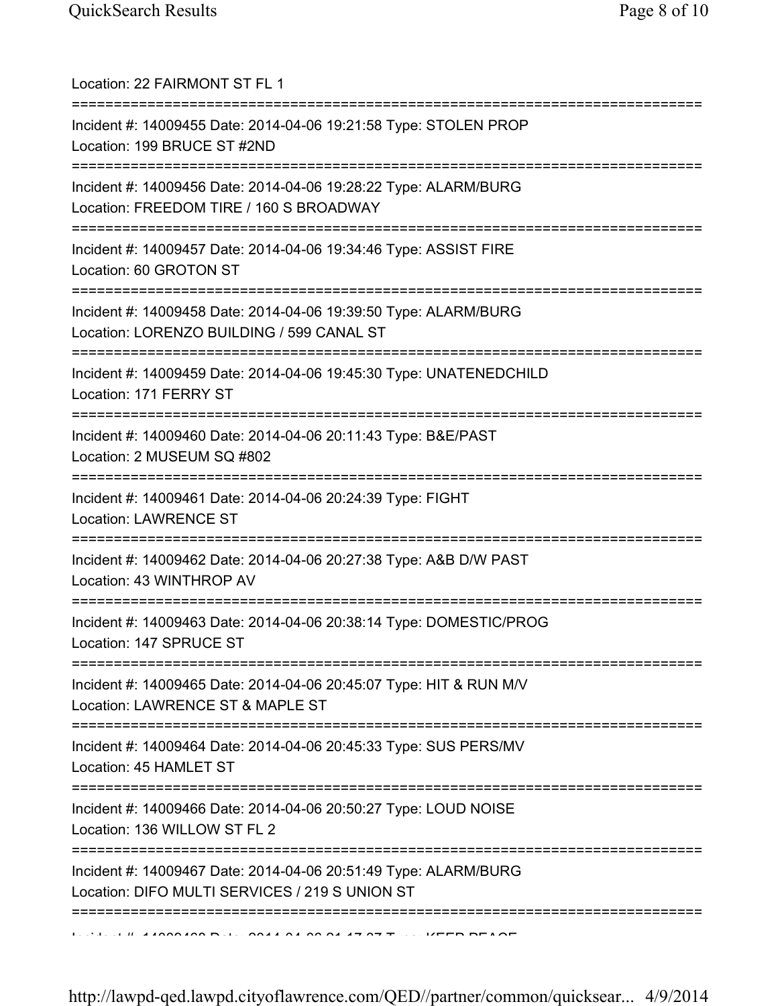| Location: 22 FAIRMONT ST FL 1<br>==========================                                                                              |
|------------------------------------------------------------------------------------------------------------------------------------------|
| Incident #: 14009455 Date: 2014-04-06 19:21:58 Type: STOLEN PROP<br>Location: 199 BRUCE ST #2ND<br>===================================== |
| Incident #: 14009456 Date: 2014-04-06 19:28:22 Type: ALARM/BURG<br>Location: FREEDOM TIRE / 160 S BROADWAY                               |
| Incident #: 14009457 Date: 2014-04-06 19:34:46 Type: ASSIST FIRE<br>Location: 60 GROTON ST                                               |
| Incident #: 14009458 Date: 2014-04-06 19:39:50 Type: ALARM/BURG<br>Location: LORENZO BUILDING / 599 CANAL ST                             |
| Incident #: 14009459 Date: 2014-04-06 19:45:30 Type: UNATENEDCHILD<br>Location: 171 FERRY ST                                             |
| Incident #: 14009460 Date: 2014-04-06 20:11:43 Type: B&E/PAST<br>Location: 2 MUSEUM SQ #802<br>=====================================     |
| Incident #: 14009461 Date: 2014-04-06 20:24:39 Type: FIGHT<br><b>Location: LAWRENCE ST</b>                                               |
| Incident #: 14009462 Date: 2014-04-06 20:27:38 Type: A&B D/W PAST<br>Location: 43 WINTHROP AV                                            |
| Incident #: 14009463 Date: 2014-04-06 20:38:14 Type: DOMESTIC/PROG<br>Location: 147 SPRUCE ST                                            |
| =====================<br>Incident #: 14009465 Date: 2014-04-06 20:45:07 Type: HIT & RUN M/V<br>Location: LAWRENCE ST & MAPLE ST          |
| Incident #: 14009464 Date: 2014-04-06 20:45:33 Type: SUS PERS/MV<br>Location: 45 HAMLET ST                                               |
| Incident #: 14009466 Date: 2014-04-06 20:50:27 Type: LOUD NOISE<br>Location: 136 WILLOW ST FL 2                                          |
| ==============<br>Incident #: 14009467 Date: 2014-04-06 20:51:49 Type: ALARM/BURG<br>Location: DIFO MULTI SERVICES / 219 S UNION ST      |
|                                                                                                                                          |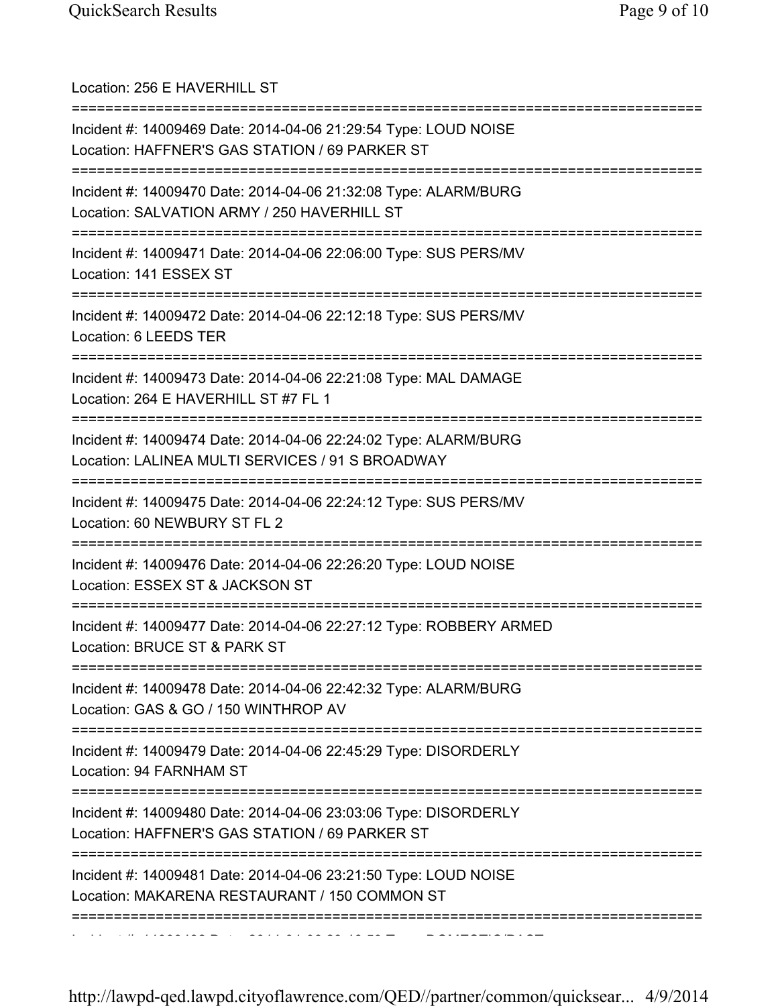| Location: 256 E HAVERHILL ST<br>===================                                                                                                          |
|--------------------------------------------------------------------------------------------------------------------------------------------------------------|
| Incident #: 14009469 Date: 2014-04-06 21:29:54 Type: LOUD NOISE<br>Location: HAFFNER'S GAS STATION / 69 PARKER ST                                            |
| Incident #: 14009470 Date: 2014-04-06 21:32:08 Type: ALARM/BURG<br>Location: SALVATION ARMY / 250 HAVERHILL ST                                               |
| Incident #: 14009471 Date: 2014-04-06 22:06:00 Type: SUS PERS/MV<br>Location: 141 ESSEX ST                                                                   |
| Incident #: 14009472 Date: 2014-04-06 22:12:18 Type: SUS PERS/MV<br>Location: 6 LEEDS TER                                                                    |
| Incident #: 14009473 Date: 2014-04-06 22:21:08 Type: MAL DAMAGE<br>Location: 264 E HAVERHILL ST #7 FL 1                                                      |
| Incident #: 14009474 Date: 2014-04-06 22:24:02 Type: ALARM/BURG<br>Location: LALINEA MULTI SERVICES / 91 S BROADWAY<br>===================================== |
| Incident #: 14009475 Date: 2014-04-06 22:24:12 Type: SUS PERS/MV<br>Location: 60 NEWBURY ST FL 2<br>===================================                      |
| Incident #: 14009476 Date: 2014-04-06 22:26:20 Type: LOUD NOISE<br>Location: ESSEX ST & JACKSON ST                                                           |
| Incident #: 14009477 Date: 2014-04-06 22:27:12 Type: ROBBERY ARMED<br>Location: BRUCE ST & PARK ST                                                           |
| Incident #: 14009478 Date: 2014-04-06 22:42:32 Type: ALARM/BURG<br>Location: GAS & GO / 150 WINTHROP AV                                                      |
| Incident #: 14009479 Date: 2014-04-06 22:45:29 Type: DISORDERLY<br>Location: 94 FARNHAM ST                                                                   |
| =============<br>Incident #: 14009480 Date: 2014-04-06 23:03:06 Type: DISORDERLY<br>Location: HAFFNER'S GAS STATION / 69 PARKER ST                           |
| Incident #: 14009481 Date: 2014-04-06 23:21:50 Type: LOUD NOISE<br>Location: MAKARENA RESTAURANT / 150 COMMON ST                                             |
|                                                                                                                                                              |